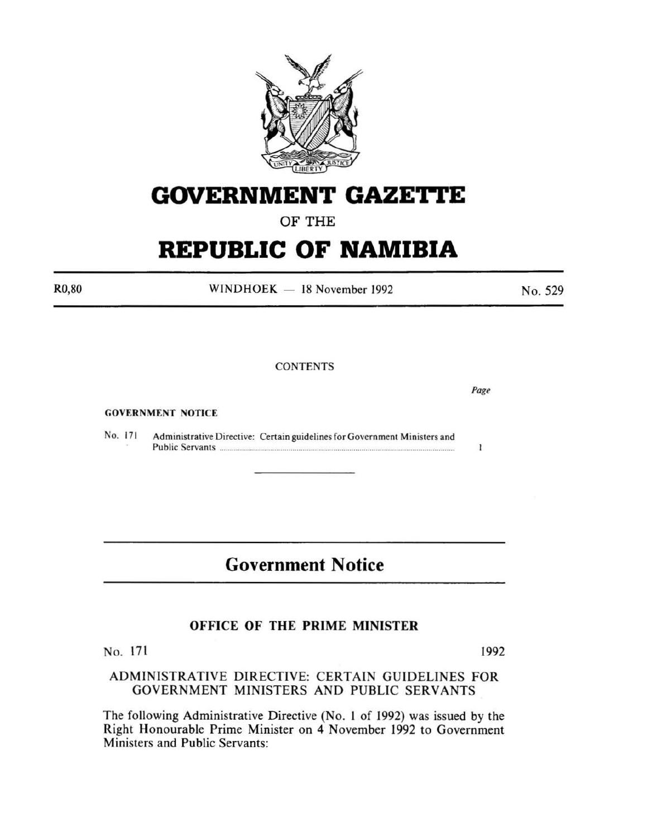

## **GOVERNMENT GAZE1TE**

OF THE

# **REPUBLIC OF NAMIBIA**

R0,80

 $WINDHOEK - 18 November 1992$ 

No. 529

## **CONTENTS**

GOVERNMENT NOTICE

No. 171 Administrative Directive: Certain guidelines for Government Ministers and Public Servants ................................................................................................................... .

## **Government Notice**

## OFFICE OF THE PRIME MINISTER

No. 171 1992

## ADMINISTRATIVE DIRECTIVE: CERTAIN GUIDELINES FOR GOVERNMENT MINISTERS AND PUBLIC SERVANTS

The following Administrative Directive (No. 1 of 1992) was issued by the Right Honourable Prime Minister on 4 November 1992 to Government Ministers and Public Servants:

*Page* 

 $\mathbf{1}$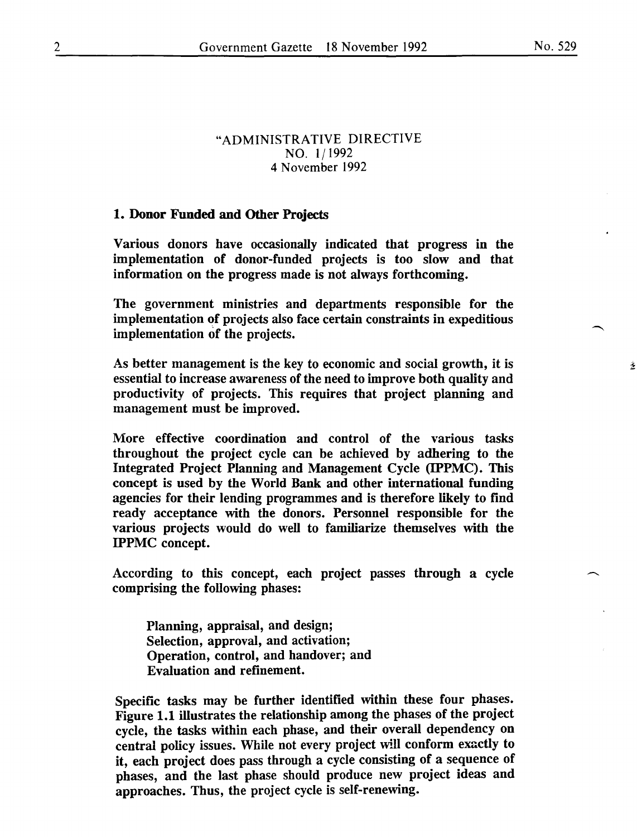Ă,

### "ADMINISTRATIVE DIRECTIVE NO. 1/1992 4 November 1992

#### 1. Donor Funded and Other Projects

Various donors have occasionally indicated that progress in the implementation of donor-funded projects is too slow and that information on the progress made is not always forthcoming.

The government ministries and departments responsible for the implementation of projects also face certain constraints in expeditious implementation of the projects.

As better management is the key to economic and social growth, it is essential to increase awareness of the need to improve both quality and productivity of projects. This requires that project planning and management must be improved.

More effective coordination and control of the various tasks throughout the project cycle can be achieved by adhering to the Integrated Project Planning and Management Cycle (IPPMC). This concept is used by the World Bank and other international funding agencies for their lending programmes and is therefore likely to find ready acceptance with the donors. Personnel responsible for the various projects would do well to familiarize themselves with the IPPMC concept.

According to this concept, each project passes through a cycle comprising the following phases:

Planning, appraisal, and design; Selection, approval, and activation; Operation, control, and handover; and Evaluation and refinement.

Specific tasks may be further identified within these four phases. Figure 1.1 illustrates the relationship among the phases of the project cycle, the tasks within each phase, and their overall dependency on central policy issues. While not every project will conform exactly to it, each project does pass through a cycle consisting of a sequence of phases, and the last phase should produce new project ideas and approaches. Thus, the project cycle is self-renewing.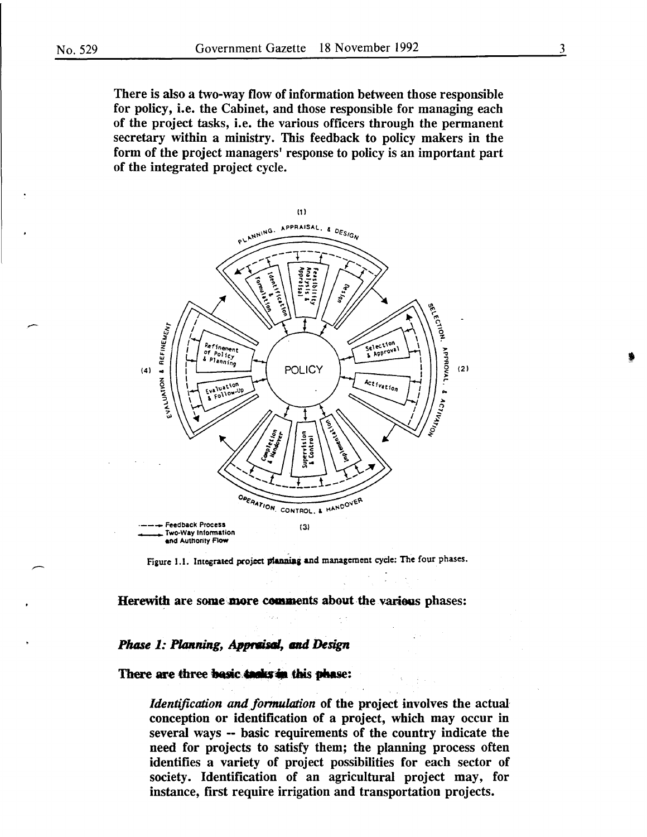There is also a two-way flow of information between those responsible for policy, i.e. the Cabinet, and those responsible for managing each of the project tasks, i.e. the various officers through the permanent secretary within a ministry. This feedback to policy makers in the form of the project managers' response to policy is an important part of the integrated project cycle.



Figure 1.1. Integrated project planning and management cycle: The four phases.

Herewith are some more comments about the various phases:

#### *Phase 1: Planning, Appraisal, and Design*

#### There are three basic tanks in this phase:

*Identification and formulation* of the project involves the actual conception or identification of a project, which may occur in several ways -- basic requirements of the country indicate the need for projects to satisfy them; the planning process often identifies a variety of project possibilities for each sector of society. Identification of an agricultural project may, for instance, first require irrigation and transportation projects.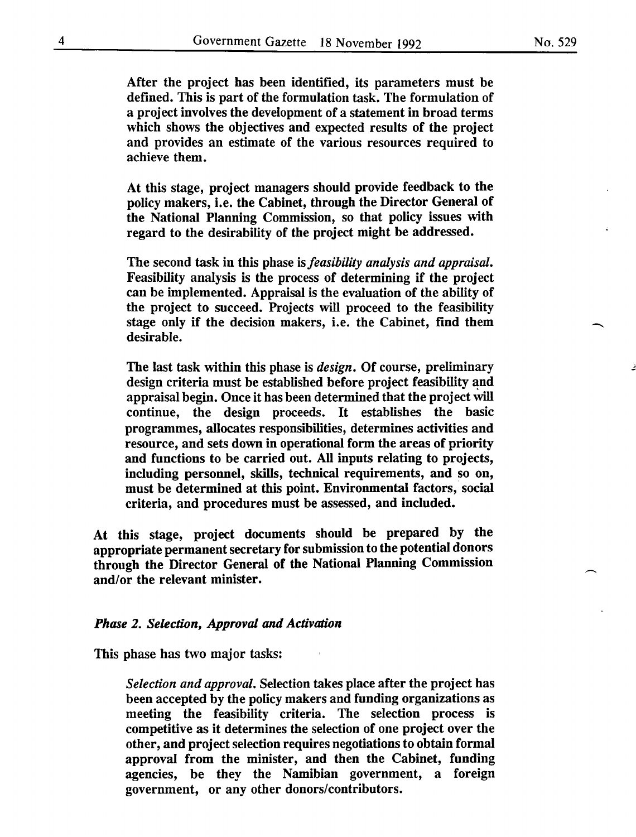After the project has been identified, its parameters must be defined. This is part of the formulation task. The formulation of a project involves the development of a statement in broad terms which shows the objectives and expected results of the project and provides an estimate of the various resources required to achieve them.

At this stage, project managers should provide feedback to the policy makers, i.e. the Cabinet, through the Director General of the National Planning Commission, so that policy issues with regard to the desirability of the project might be addressed.

The second task in this phase is *feasibility analysis and appraisal.*  Feasibility analysis is the process of determining if the project can be implemented. Appraisal is the evaluation of the ability of the project to succeed. Projects will proceed to the feasibility stage only if the decision makers, i.e. the Cabinet, find them desirable.

The last task within this phase is *design.* Of course, preliminary design criteria must be established before project feasibility and appraisal begin. Once it has been determined that the project will continue, the design proceeds. It establishes the basic programmes, allocates responsibilities, determines activities and resource, and sets down in operational form the areas of priority and functions to be carried out. All inputs relating to projects, including personnel, skills, technical requirements, and so on, must be determined at this point. Environmental factors, social criteria, and procedures must be assessed, and included.

At this stage, project documents should be prepared by the appropriate permanent secretary for submission to the potential donors through the Director General of the National Planning Commission and/or the relevant minister.

#### *Phase 2. Selection, Approval and Activation*

This phase has two major tasks:

*Selection and approval.* Selection takes place after the project has been accepted by the policy makers and funding organizations as meeting the feasibility criteria. The selection process is competitive as it determines the selection of one project over the other, and project selection requires negotiations to obtain formal approval from the minister, and then the Cabinet, funding agencies, be they the Namibian government, a foreign government, or any other donors/contributors.

j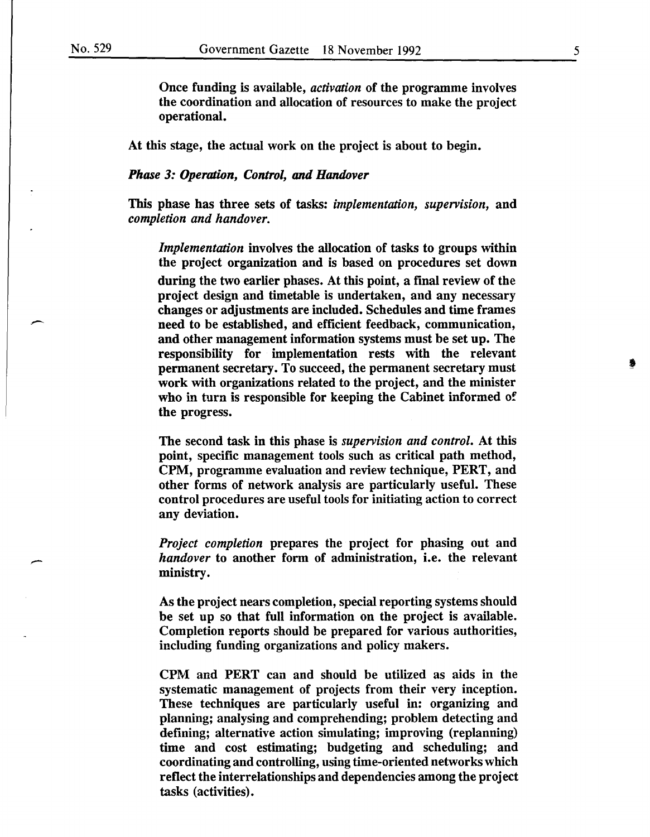Once funding is available, *activation* of the programme involves the coordination and allocation of resources to make the project operational.

At this stage, the actual work on the project is about to begin.

### *Phase 3: Operation, Control,* and *Handover*

This phase has three sets of tasks: *implementation, supervision,* and *completion and handover.* 

*Implementation* involves the allocation of tasks to groups within the project organization and is based on procedures set down during the two earlier phases. At this point, a final review of the project design and timetable is undertaken, and any necessary changes or adjustments are included. Schedules and time frames need to be established, and efficient feedback, communication, and other management information systems must be set up. The responsibility for implementation rests with the relevant permanent secretary. To succeed, the permanent secretary must work with organizations related to the project, and the minister who in turn is responsible for keeping the Cabinet informed of the progress.

The second task in this phase is *supervision and control.* At this point, specific management tools such as critical path method, CPM, programme evaluation and review technique, PERT, and other forms of network analysis are particularly useful. These control procedures are useful tools for initiating action to correct any deviation.

*Project completion* prepares the project for phasing out and *handover* to another form of administration, i.e. the relevant ministry.

As the project nears completion, special reporting systems should be set up so that full information on the project is available. Completion reports should be prepared for various authorities, including funding organizations and policy makers.

CPM and PERT can and should be utilized as aids in the systematic management of projects from their very inception. These techniques are particularly useful in: organizing and planning; analysing and comprehending; problem detecting and defining; alternative action simulating; improving (replanning) time and cost estimating; budgeting and scheduling; and coordinating and controlling, using time-oriented networks which reflect the interrelationships and dependencies among the project tasks (activities).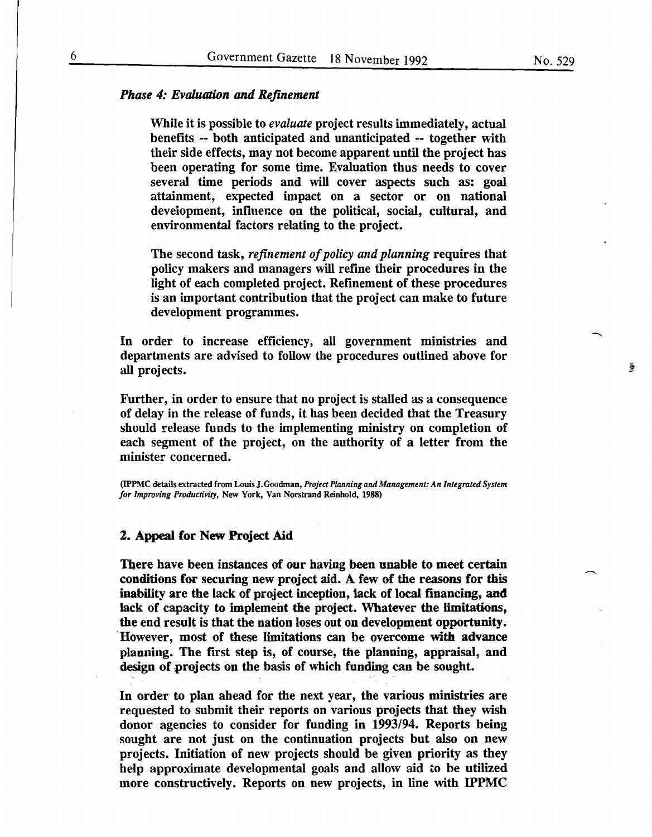#### *Phase 4: Evaluation* and *Refinement*

While it is possible to *evaluate* project results immediately, actual benefits -- both anticipated and unanticipated -- together with their side effects, may not become apparent until the project has been operating for some time. Evaluation thus needs to cover several time periods and will cover aspects such as: goal attainment, expected impact on a sector or on national development, influence on the political, social, cultural, and environmental factors relating to the project.

The second task, *refinement of policy and planning* requires that policy makers and managers will refine their procedures in the light of each completed project. Refinement of these procedures is an important contribution that the project can make to future development programmes.

In order to increase efficiency, all government ministries and departments are advised to follow the procedures outlined above for all projects.

Further, in order to ensure that no project is stalled as a consequence of delay in the release of funds, it has been decided that the Treasury should release funds to the implementing ministry on completion of each segment of the project, on the authority of a letter from the minister concerned.

(IPPMC details extracted from Louis J.Goodman, *Project Planning and Management: An Integrated System for Improving Productivity,* New York, Van Norstrand Reinhold, 1988)

#### 2. Appeal for New Project Aid

There have been instances of our having been unable to meet certain conditions for securing new project aid. A few of the reasons for this inability are the lack of project inception, tack of local financing, and lack of capacity to implement the project. Whatever the limitations, the end result is that the nation loses out on development opportunity. However, most of these limitations can be overcome with advance planning. The first step is, of course, the planning, appraisal, and design of projects on the basis of which funding can be sought.

In order to plan ahead for the next year, the various ministries are requested to submit their reports on various projects that they wish donor agencies to consider for funding in 1993/94. Reports being sought are not just on the continuation projects but also on new projects. Initiation of new projects should be given priority as they help approximate developmental goals and allow aid to be utilized more constructively. Reports on new projects, in line with IPPMC

蠢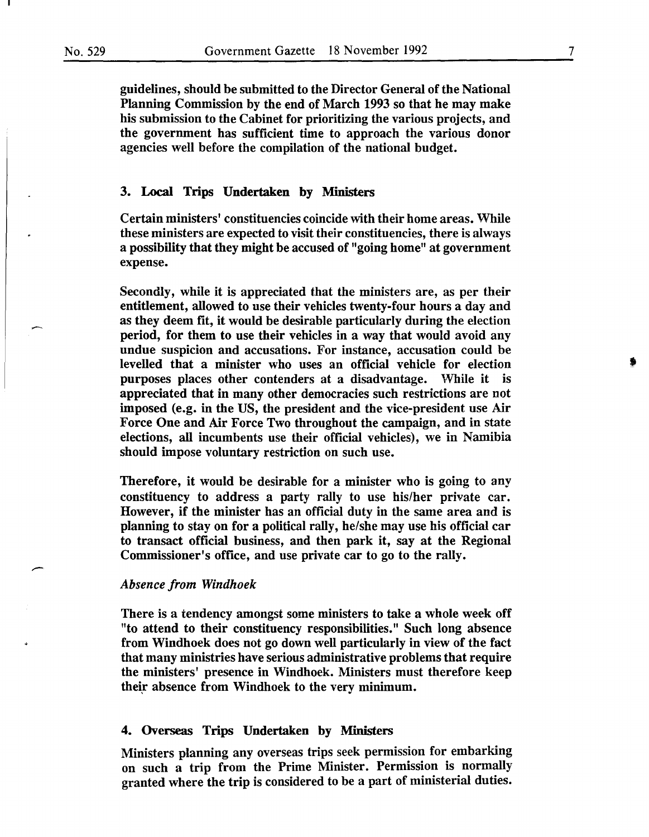guidelines, should be submitted to the Director General of the National Planning Commission by the end of March 1993 so that he may make his submission to the Cabinet for prioritizing the various projects, and the government has sufficient time to approach the various donor agencies well before the compilation of the national budget.

#### 3. Local Trips Undertaken by Ministers

Certain ministers' constituencies coincide with their home areas. While these ministers are expected to visit their constituencies, there is always a possibility that they might be accused of "going home" at government expense.

Secondly, while it is appreciated that the ministers are, as per their entitlement, allowed to use their vehicles twenty-four hours a day and as they deem fit, it would be desirable particularly during the election period, for them to use their vehicles in a way that would avoid any undue suspicion and accusations. For instance, accusation could be levelled that a minister who uses an official vehicle for election purposes places other contenders at a disadvantage. While it is appreciated that in many other democracies such restrictions are not imposed (e.g. in the US, the president and the vice-president use Air Force One and Air Force Two throughout the campaign, and in state elections, all incumbents use their official vehicles), we in Namibia should impose voluntary restriction on such use.

Therefore, it would be desirable for a minister who is going to any constituency to address a party rally to use his/her private car. However, if the minister has an official duty in the same area and is planning to stay on for a political rally, he/she may use his official car to transact official business, and then park it, say at the Regional Commissioner's office, and use private car to go to the rally.

#### *Absence from Windhoek*

There is a iendency amongst some ministers to take a whole week off "to attend to their constituency responsibilities." Such long absence from Windhoek does not go down well particularly in view of the fact that many ministries have serious administrative problems that require the ministers' presence in Windhoek. Ministers must therefore keep their absence from Windhoek to the very minimum.

#### 4. Overseas Trips Undertaken by Ministers

Ministers planning any overseas trips seek permission for embarking on such a trip from the Prime Minister. Permission is normally granted where the trip is considered to be a part of ministerial duties.

7